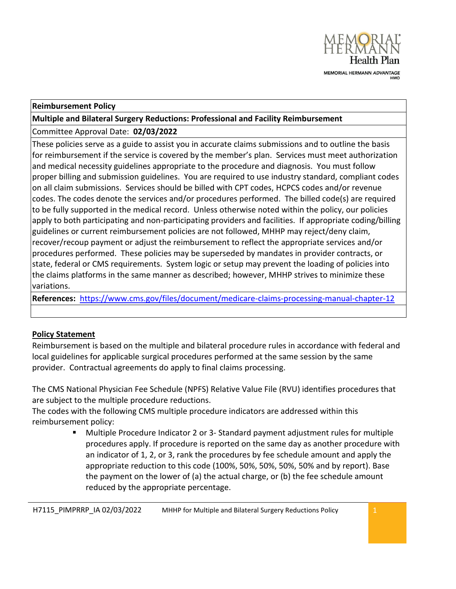

#### **Reimbursement Policy**

**Multiple and Bilateral Surgery Reductions: Professional and Facility Reimbursement**

Committee Approval Date: **02/03/2022**

These policies serve as a guide to assist you in accurate claims submissions and to outline the basis for reimbursement if the service is covered by the member's plan. Services must meet authorization and medical necessity guidelines appropriate to the procedure and diagnosis. You must follow proper billing and submission guidelines. You are required to use industry standard, compliant codes on all claim submissions. Services should be billed with CPT codes, HCPCS codes and/or revenue codes. The codes denote the services and/or procedures performed. The billed code(s) are required to be fully supported in the medical record. Unless otherwise noted within the policy, our policies apply to both participating and non-participating providers and facilities. If appropriate coding/billing guidelines or current reimbursement policies are not followed, MHHP may reject/deny claim, recover/recoup payment or adjust the reimbursement to reflect the appropriate services and/or procedures performed. These policies may be superseded by mandates in provider contracts, or state, federal or CMS requirements. System logic or setup may prevent the loading of policies into the claims platforms in the same manner as described; however, MHHP strives to minimize these variations.

**References:** <https://www.cms.gov/files/document/medicare-claims-processing-manual-chapter-12>

### **Policy Statement**

Reimbursement is based on the multiple and bilateral procedure rules in accordance with federal and local guidelines for applicable surgical procedures performed at the same session by the same provider. Contractual agreements do apply to final claims processing.

The CMS National Physician Fee Schedule (NPFS) Relative Value File (RVU) identifies procedures that are subject to the multiple procedure reductions.

The codes with the following CMS multiple procedure indicators are addressed within this reimbursement policy:

> Multiple Procedure Indicator 2 or 3- Standard payment adjustment rules for multiple procedures apply. If procedure is reported on the same day as another procedure with an indicator of 1, 2, or 3, rank the procedures by fee schedule amount and apply the appropriate reduction to this code (100%, 50%, 50%, 50%, 50% and by report). Base the payment on the lower of (a) the actual charge, or (b) the fee schedule amount reduced by the appropriate percentage.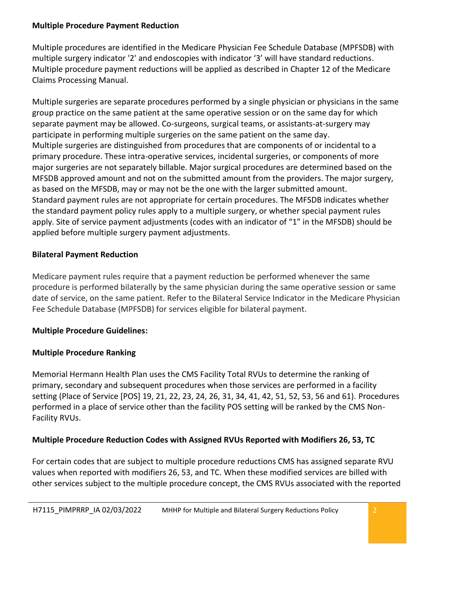#### **Multiple Procedure Payment Reduction**

Multiple procedures are identified in the Medicare Physician Fee Schedule Database (MPFSDB) with multiple surgery indicator '2' and endoscopies with indicator '3' will have standard reductions. Multiple procedure payment reductions will be applied as described i[n Chapter 12 of the Medicare](https://www.cms.gov/Regulations-and-Guidance/Guidance/Manuals/downloads/clm104c12.pdf)  [Claims Processing Manual.](https://www.cms.gov/Regulations-and-Guidance/Guidance/Manuals/downloads/clm104c12.pdf)

Multiple surgeries are separate procedures performed by a single physician or physicians in the same group practice on the same patient at the same operative session or on the same day for which separate payment may be allowed. Co-surgeons, surgical teams, or assistants-at-surgery may participate in performing multiple surgeries on the same patient on the same day. Multiple surgeries are distinguished from procedures that are components of or incidental to a primary procedure. These intra-operative services, incidental surgeries, or components of more major surgeries are not separately billable. Major surgical procedures are determined based on the MFSDB approved amount and not on the submitted amount from the providers. The major surgery, as based on the MFSDB, may or may not be the one with the larger submitted amount. Standard payment rules are not appropriate for certain procedures. The MFSDB indicates whether the standard payment policy rules apply to a multiple surgery, or whether special payment rules apply. Site of service payment adjustments (codes with an indicator of "1" in the MFSDB) should be applied before multiple surgery payment adjustments.

## **Bilateral Payment Reduction**

Medicare payment rules require that a payment reduction be performed whenever the same procedure is performed bilaterally by the same physician during the same operative session or same date of service, on the same patient. Refer to the Bilateral Service Indicator in the Medicare Physician Fee Schedule Database (MPFSDB) for services eligible for bilateral payment.

# **Multiple Procedure Guidelines:**

# **Multiple Procedure Ranking**

Memorial Hermann Health Plan uses the CMS Facility Total RVUs to determine the ranking of primary, secondary and subsequent procedures when those services are performed in a facility setting (Place of Service [POS] 19, 21, 22, 23, 24, 26, 31, 34, 41, 42, 51, 52, 53, 56 and 61). Procedures performed in a place of service other than the facility POS setting will be ranked by the CMS Non-Facility RVUs.

# **Multiple Procedure Reduction Codes with Assigned RVUs Reported with Modifiers 26, 53, TC**

For certain codes that are subject to multiple procedure reductions CMS has assigned separate RVU values when reported with modifiers 26, 53, and TC. When these modified services are billed with other services subject to the multiple procedure concept, the CMS RVUs associated with the reported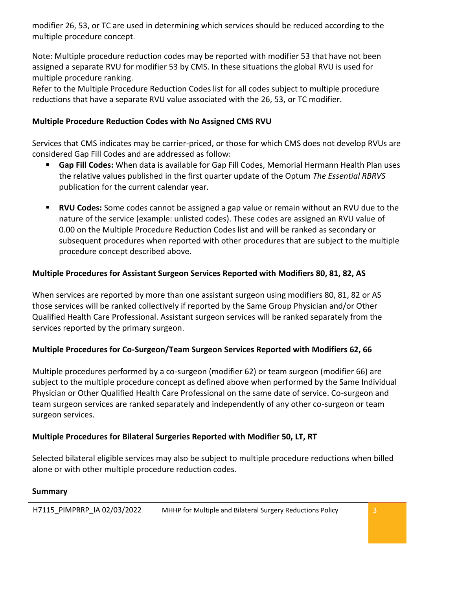modifier 26, 53, or TC are used in determining which services should be reduced according to the multiple procedure concept.

Note: Multiple procedure reduction codes may be reported with modifier 53 that have not been assigned a separate RVU for modifier 53 by CMS. In these situations the global RVU is used for multiple procedure ranking.

Refer to the Multiple Procedure Reduction Codes list for all codes subject to multiple procedure reductions that have a separate RVU value associated with the 26, 53, or TC modifier.

### **Multiple Procedure Reduction Codes with No Assigned CMS RVU**

Services that CMS indicates may be carrier-priced, or those for which CMS does not develop RVUs are considered Gap Fill Codes and are addressed as follow:

- **Gap Fill Codes:** When data is available for Gap Fill Codes, Memorial Hermann Health Plan uses the relative values published in the first quarter update of the Optum *The Essential RBRVS*  publication for the current calendar year.
- **RVU Codes:** Some codes cannot be assigned a gap value or remain without an RVU due to the nature of the service (example: unlisted codes). These codes are assigned an RVU value of 0.00 on the Multiple Procedure Reduction Codes list and will be ranked as secondary or subsequent procedures when reported with other procedures that are subject to the multiple procedure concept described above.

### **Multiple Procedures for Assistant Surgeon Services Reported with Modifiers 80, 81, 82, AS**

When services are reported by more than one assistant surgeon using modifiers 80, 81, 82 or AS those services will be ranked collectively if reported by the Same Group Physician and/or Other Qualified Health Care Professional. Assistant surgeon services will be ranked separately from the services reported by the primary surgeon.

### **Multiple Procedures for Co-Surgeon/Team Surgeon Services Reported with Modifiers 62, 66**

Multiple procedures performed by a co-surgeon (modifier 62) or team surgeon (modifier 66) are subject to the multiple procedure concept as defined above when performed by the Same Individual Physician or Other Qualified Health Care Professional on the same date of service. Co-surgeon and team surgeon services are ranked separately and independently of any other co-surgeon or team surgeon services.

### **Multiple Procedures for Bilateral Surgeries Reported with Modifier 50, LT, RT**

Selected bilateral eligible services may also be subject to multiple procedure reductions when billed alone or with other multiple procedure reduction codes.

### **Summary**